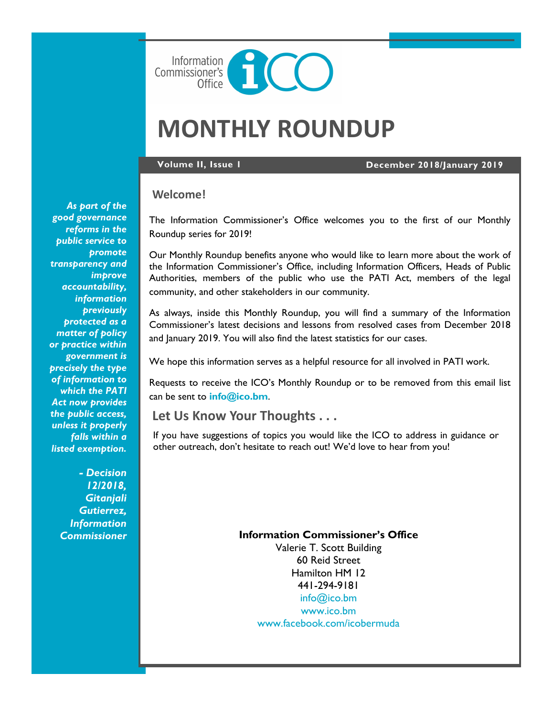

# **MONTHLY ROUNDUP**

**Volume II, Issue 1 December 2018/January 2019**

#### **Welcome!**

The Information Commissioner's Office welcomes you to the first of our Monthly Roundup series for 2019!

Our Monthly Roundup benefits anyone who would like to learn more about the work of the Information Commissioner's Office, including Information Officers, Heads of Public Authorities, members of the public who use the PATI Act, members of the legal community, and other stakeholders in our community.

As always, inside this Monthly Roundup, you will find a summary of the Information Commissioner's latest decisions and lessons from resolved cases from December 2018 and January 2019. You will also find the latest statistics for our cases.

We hope this information serves as a helpful resource for all involved in PATI work.

Requests to receive the ICO's Monthly Roundup or to be removed from this email list can be sent to **[info@ico.bm](mailto:info@ico.bm)**.

### **Let Us Know Your Thoughts . . .**

If you have suggestions of topics you would like the ICO to address in guidance or other outreach, don't hesitate to reach out! We'd love to hear from you!

#### **Information Commissioner's Office**

Valerie T. Scott Building 60 Reid Street Hamilton HM 12 441-294-9181 [info@ico.bm](mailto:info@ico.bm) [www.ico.bm](http://www.ico.bm) [www.facebook.com/icobermuda](http://www.facebook.com/icobermuda/ICOFS01S/Folder-Redirection$/gsgutierrez/Documents/Admin)

*As part of the good governance reforms in the public service to promote transparency and improve accountability, information previously protected as a matter of policy or practice within government is precisely the type of information to which the PATI Act now provides the public access, unless it properly falls within a listed exemption.*

> *- Decision 12/2018, Gitanjali Gutierrez, Information Commissioner*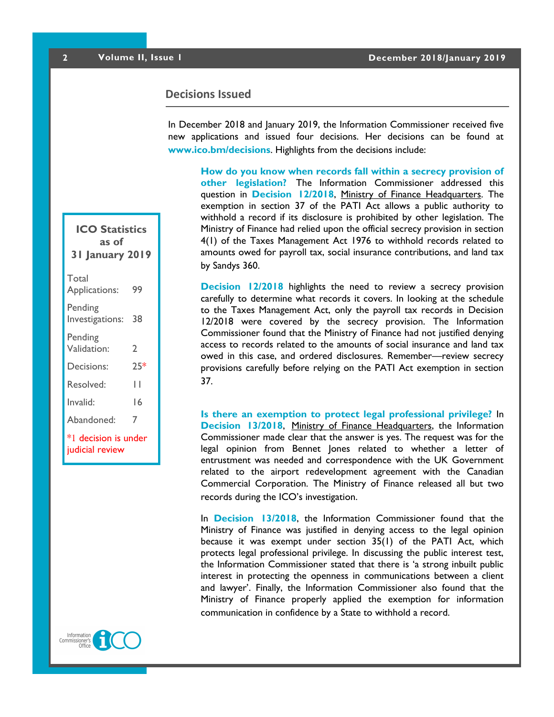#### **Decisions Issued**

In December 2018 and January 2019, the Information Commissioner received five new applications and issued four decisions. Her decisions can be found at **[www.ico.bm/decisions](http://www.ico.bm/decisions)**. Highlights from the decisions include:

**How do you know when records fall within a secrecy provision of other legislation?** The Information Commissioner addressed this question in **[Decision 12/2018](https://docs.wixstatic.com/ugd/5803dc_59e7313d4a2b4a4783d9e6fed6208c17.pdf)**, Ministry of Finance Headquarters. The exemption in section 37 of the PATI Act allows a public authority to withhold a record if its disclosure is prohibited by other legislation. The Ministry of Finance had relied upon the official secrecy provision in section 4(1) of the Taxes Management Act 1976 to withhold records related to amounts owed for payroll tax, social insurance contributions, and land tax by Sandys 360.

**[Decision 12/2018](https://docs.wixstatic.com/ugd/5803dc_59e7313d4a2b4a4783d9e6fed6208c17.pdf)** highlights the need to review a secrecy provision carefully to determine what records it covers. In looking at the schedule to the Taxes Management Act, only the payroll tax records in Decision 12/2018 were covered by the secrecy provision. The Information Commissioner found that the Ministry of Finance had not justified denying access to records related to the amounts of social insurance and land tax owed in this case, and ordered disclosures. Remember—review secrecy provisions carefully before relying on the PATI Act exemption in section 37.

**Is there an exemption to protect legal professional privilege?** In **[Decision 13/2018](https://docs.wixstatic.com/ugd/5803dc_adfaec20a7c84b4ca3bd15ebf7170a56.pdf)**, Ministry of Finance Headquarters, the Information Commissioner made clear that the answer is yes. The request was for the legal opinion from Bennet Jones related to whether a letter of entrustment was needed and correspondence with the UK Government related to the airport redevelopment agreement with the Canadian Commercial Corporation. The Ministry of Finance released all but two records during the ICO's investigation.

In **[Decision 13/2018](https://docs.wixstatic.com/ugd/5803dc_adfaec20a7c84b4ca3bd15ebf7170a56.pdf)**, the Information Commissioner found that the Ministry of Finance was justified in denying access to the legal opinion because it was exempt under section 35(1) of the PATI Act, which protects legal professional privilege. In discussing the public interest test, the Information Commissioner stated that there is 'a strong inbuilt public interest in protecting the openness in communications between a client and lawyer'. Finally, the Information Commissioner also found that the Ministry of Finance properly applied the exemption for information communication in confidence by a State to withhold a record.

## **ICO Statistics as of 31 January 2019** Total Applications: 99 Pending Investigations: 38 Pending Validation: 2 Decisions: 25\* Resolved: 11 Invalid: 16 Abandoned: 7 \*1 decision is under judicial review

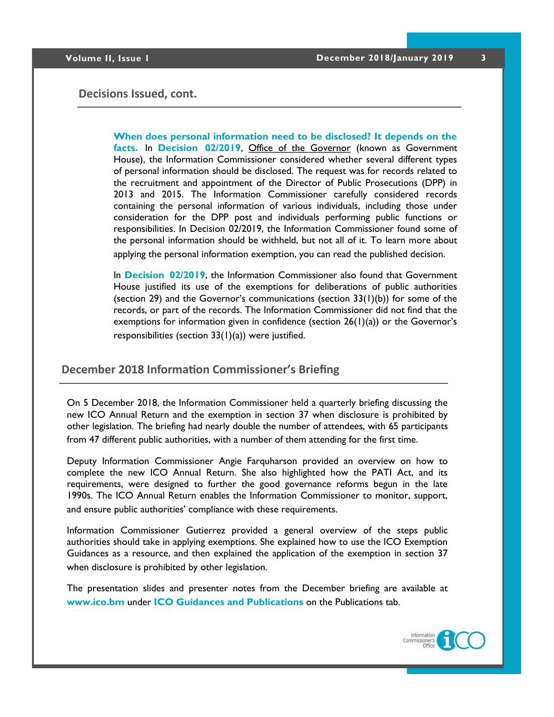#### **Decisions Issued, cont.**

**When does personal information need to be disclosed? It depends on the facts.** In **[Decision 02/2019](https://docs.wixstatic.com/ugd/5803dc_335b333ae0824201bc435fb9d281d019.pdf)**, Office of the Governor (known as Government House), the Information Commissioner considered whether several different types of personal information should be disclosed. The request was for records related to the recruitment and appointment of the Director of Public Prosecutions (DPP) in 2013 and 2015. The Information Commissioner carefully considered records containing the personal information of various individuals, including those under consideration for the DPP post and individuals performing public functions or responsibilities. In Decision 02/2019, the Information Commissioner found some of the personal information should be withheld, but not all of it. To learn more about applying the personal information exemption, you can read the published decision.

In **[Decision 02/2019](https://docs.wixstatic.com/ugd/5803dc_335b333ae0824201bc435fb9d281d019.pdf)**, the Information Commissioner also found that Government House justified its use of the exemptions for deliberations of public authorities (section 29) and the Governor's communications (section  $33(1)(b)$ ) for some of the records, or part of the records. The Information Commissioner did not find that the exemptions for information given in confidence (section  $26(1)(a)$ ) or the Governor's responsibilities (section 33(1)(a)) were justified.

#### **December 2018 Information Commissioner's Briefing**

On 5 December 2018, the Information Commissioner held a quarterly briefing discussing the new ICO Annual Return and the exemption in section 37 when disclosure is prohibited by other legislation. The briefing had nearly double the number of attendees, with 65 participants from 47 different public authorities, with a number of them attending for the first time.

Deputy Information Commissioner Angie Farquharson provided an overview on how to complete the new ICO Annual Return. She also highlighted how the PATI Act, and its requirements, were designed to further the good governance reforms begun in the late 1990s. The ICO Annual Return enables the Information Commissioner to monitor, support, and ensure public authorities' compliance with these requirements.

Information Commissioner Gutierrez provided a general overview of the steps public authorities should take in applying exemptions. She explained how to use the ICO Exemption Guidances as a resource, and then explained the application of the exemption in section 37 when disclosure is prohibited by other legislation.

The presentation slides and presenter notes from the December briefing are available at **[www.ico.bm](http://www.ico.bm)** under **[ICO Guidances and Publications](https://www.ico.bm/exemptions-key-provision-guidances)** on the Publications tab.